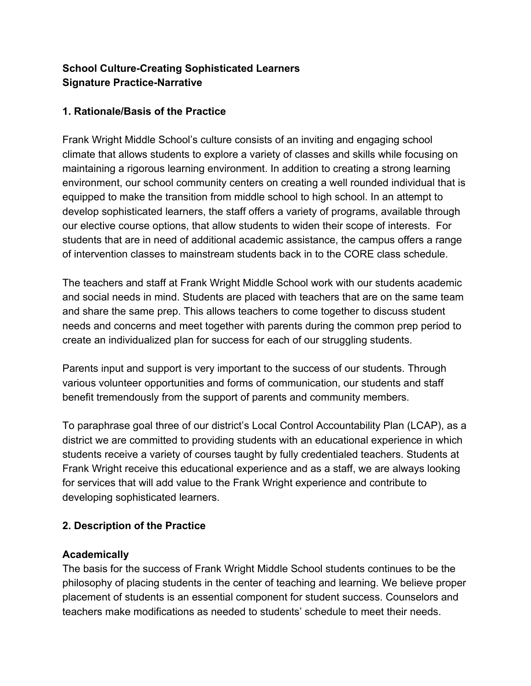# **School Culture-Creating Sophisticated Learners Signature Practice-Narrative**

## **1. Rationale/Basis of the Practice**

Frank Wright Middle School's culture consists of an inviting and engaging school climate that allows students to explore a variety of classes and skills while focusing on maintaining a rigorous learning environment. In addition to creating a strong learning environment, our school community centers on creating a well rounded individual that is equipped to make the transition from middle school to high school. In an attempt to develop sophisticated learners, the staff offers a variety of programs, available through our elective course options, that allow students to widen their scope of interests. For students that are in need of additional academic assistance, the campus offers a range of intervention classes to mainstream students back in to the CORE class schedule.

The teachers and staff at Frank Wright Middle School work with our students academic and social needs in mind. Students are placed with teachers that are on the same team and share the same prep. This allows teachers to come together to discuss student needs and concerns and meet together with parents during the common prep period to create an individualized plan for success for each of our struggling students.

Parents input and support is very important to the success of our students. Through various volunteer opportunities and forms of communication, our students and staff benefit tremendously from the support of parents and community members.

To paraphrase goal three of our district's Local Control Accountability Plan (LCAP), as a district we are committed to providing students with an educational experience in which students receive a variety of courses taught by fully credentialed teachers. Students at Frank Wright receive this educational experience and as a staff, we are always looking for services that will add value to the Frank Wright experience and contribute to developing sophisticated learners.

## **2. Description of the Practice**

## **Academically**

The basis for the success of Frank Wright Middle School students continues to be the philosophy of placing students in the center of teaching and learning. We believe proper placement of students is an essential component for student success. Counselors and teachers make modifications as needed to students' schedule to meet their needs.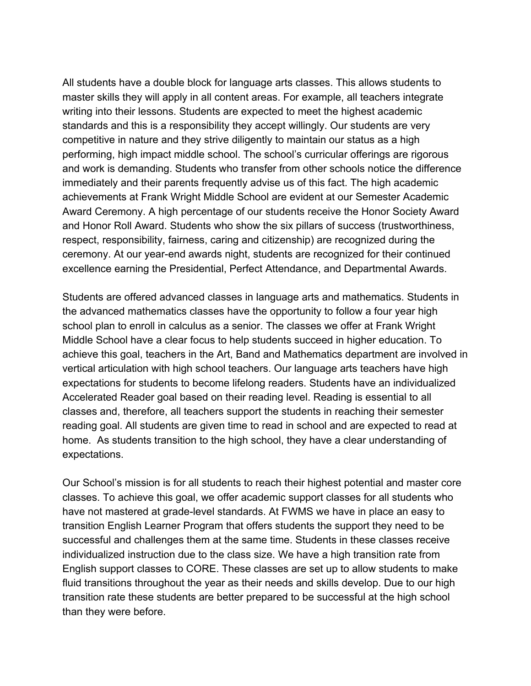All students have a double block for language arts classes. This allows students to master skills they will apply in all content areas. For example, all teachers integrate writing into their lessons. Students are expected to meet the highest academic standards and this is a responsibility they accept willingly. Our students are very competitive in nature and they strive diligently to maintain our status as a high performing, high impact middle school. The school's curricular offerings are rigorous and work is demanding. Students who transfer from other schools notice the difference immediately and their parents frequently advise us of this fact. The high academic achievements at Frank Wright Middle School are evident at our Semester Academic Award Ceremony. A high percentage of our students receive the Honor Society Award and Honor Roll Award. Students who show the six pillars of success (trustworthiness, respect, responsibility, fairness, caring and citizenship) are recognized during the ceremony. At our year-end awards night, students are recognized for their continued excellence earning the Presidential, Perfect Attendance, and Departmental Awards.

Students are offered advanced classes in language arts and mathematics. Students in the advanced mathematics classes have the opportunity to follow a four year high school plan to enroll in calculus as a senior. The classes we offer at Frank Wright Middle School have a clear focus to help students succeed in higher education. To achieve this goal, teachers in the Art, Band and Mathematics department are involved in vertical articulation with high school teachers. Our language arts teachers have high expectations for students to become lifelong readers. Students have an individualized Accelerated Reader goal based on their reading level. Reading is essential to all classes and, therefore, all teachers support the students in reaching their semester reading goal. All students are given time to read in school and are expected to read at home. As students transition to the high school, they have a clear understanding of expectations.

Our School's mission is for all students to reach their highest potential and master core classes. To achieve this goal, we offer academic support classes for all students who have not mastered at grade-level standards. At FWMS we have in place an easy to transition English Learner Program that offers students the support they need to be successful and challenges them at the same time. Students in these classes receive individualized instruction due to the class size. We have a high transition rate from English support classes to CORE. These classes are set up to allow students to make fluid transitions throughout the year as their needs and skills develop. Due to our high transition rate these students are better prepared to be successful at the high school than they were before.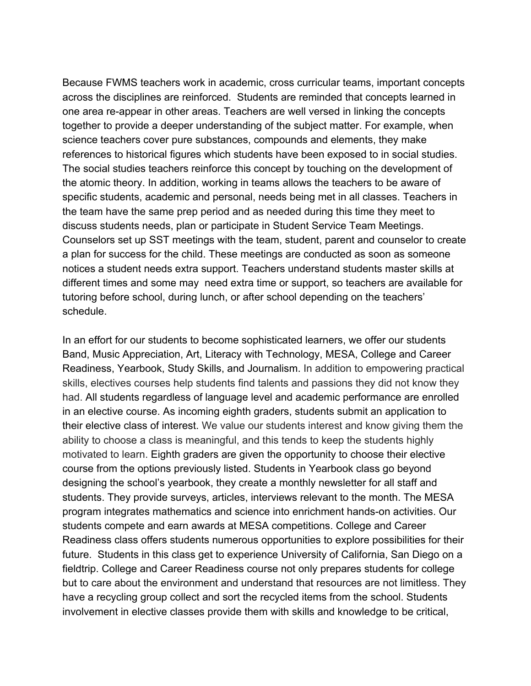Because FWMS teachers work in academic, cross curricular teams, important concepts across the disciplines are reinforced. Students are reminded that concepts learned in one area re-appear in other areas. Teachers are well versed in linking the concepts together to provide a deeper understanding of the subject matter. For example, when science teachers cover pure substances, compounds and elements, they make references to historical figures which students have been exposed to in social studies. The social studies teachers reinforce this concept by touching on the development of the atomic theory. In addition, working in teams allows the teachers to be aware of specific students, academic and personal, needs being met in all classes. Teachers in the team have the same prep period and as needed during this time they meet to discuss students needs, plan or participate in Student Service Team Meetings. Counselors set up SST meetings with the team, student, parent and counselor to create a plan for success for the child. These meetings are conducted as soon as someone notices a student needs extra support. Teachers understand students master skills at different times and some may need extra time or support, so teachers are available for tutoring before school, during lunch, or after school depending on the teachers' schedule.

In an effort for our students to become sophisticated learners, we offer our students Band, Music Appreciation, Art, Literacy with Technology, MESA, College and Career Readiness, Yearbook, Study Skills, and Journalism. In addition to empowering practical skills, electives courses help students find talents and passions they did not know they had. All students regardless of language level and academic performance are enrolled in an elective course. As incoming eighth graders, students submit an application to their elective class of interest. We value our students interest and know giving them the ability to choose a class is meaningful, and this tends to keep the students highly motivated to learn. Eighth graders are given the opportunity to choose their elective course from the options previously listed. Students in Yearbook class go beyond designing the school's yearbook, they create a monthly newsletter for all staff and students. They provide surveys, articles, interviews relevant to the month. The MESA program integrates mathematics and science into enrichment hands-on activities. Our students compete and earn awards at MESA competitions. College and Career Readiness class offers students numerous opportunities to explore possibilities for their future. Students in this class get to experience University of California, San Diego on a fieldtrip. College and Career Readiness course not only prepares students for college but to care about the environment and understand that resources are not limitless. They have a recycling group collect and sort the recycled items from the school. Students involvement in elective classes provide them with skills and knowledge to be critical,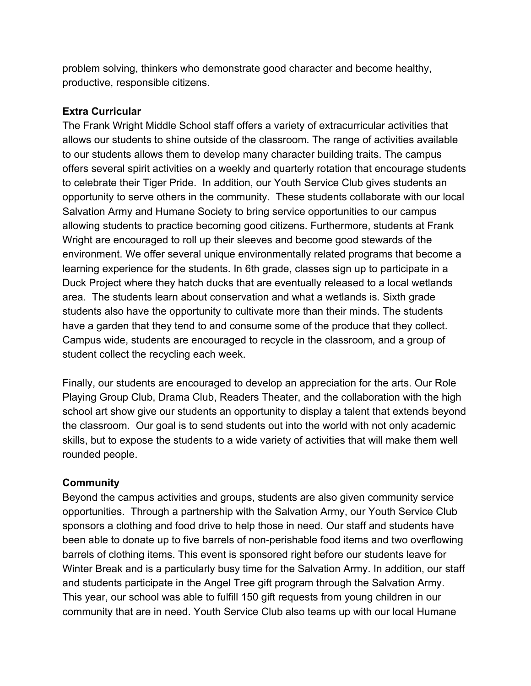problem solving, thinkers who demonstrate good character and become healthy, productive, responsible citizens.

#### **Extra Curricular**

The Frank Wright Middle School staff offers a variety of extracurricular activities that allows our students to shine outside of the classroom. The range of activities available to our students allows them to develop many character building traits. The campus offers several spirit activities on a weekly and quarterly rotation that encourage students to celebrate their Tiger Pride. In addition, our Youth Service Club gives students an opportunity to serve others in the community. These students collaborate with our local Salvation Army and Humane Society to bring service opportunities to our campus allowing students to practice becoming good citizens. Furthermore, students at Frank Wright are encouraged to roll up their sleeves and become good stewards of the environment. We offer several unique environmentally related programs that become a learning experience for the students. In 6th grade, classes sign up to participate in a Duck Project where they hatch ducks that are eventually released to a local wetlands area. The students learn about conservation and what a wetlands is. Sixth grade students also have the opportunity to cultivate more than their minds. The students have a garden that they tend to and consume some of the produce that they collect. Campus wide, students are encouraged to recycle in the classroom, and a group of student collect the recycling each week.

Finally, our students are encouraged to develop an appreciation for the arts. Our Role Playing Group Club, Drama Club, Readers Theater, and the collaboration with the high school art show give our students an opportunity to display a talent that extends beyond the classroom. Our goal is to send students out into the world with not only academic skills, but to expose the students to a wide variety of activities that will make them well rounded people.

#### **Community**

Beyond the campus activities and groups, students are also given community service opportunities. Through a partnership with the Salvation Army, our Youth Service Club sponsors a clothing and food drive to help those in need. Our staff and students have been able to donate up to five barrels of non-perishable food items and two overflowing barrels of clothing items. This event is sponsored right before our students leave for Winter Break and is a particularly busy time for the Salvation Army. In addition, our staff and students participate in the Angel Tree gift program through the Salvation Army. This year, our school was able to fulfill 150 gift requests from young children in our community that are in need. Youth Service Club also teams up with our local Humane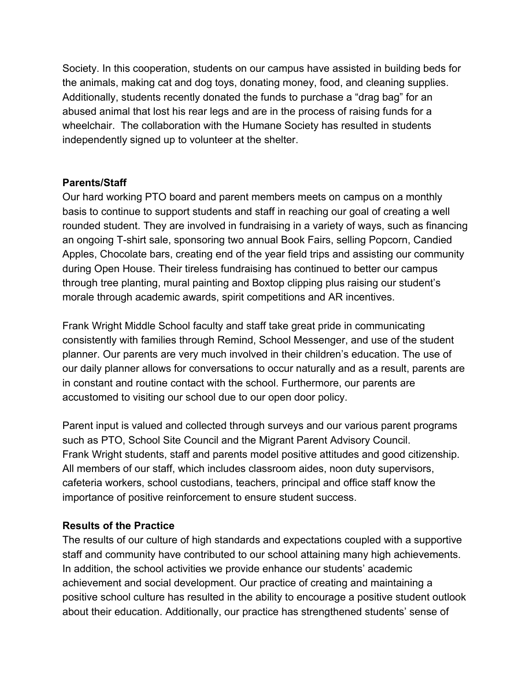Society. In this cooperation, students on our campus have assisted in building beds for the animals, making cat and dog toys, donating money, food, and cleaning supplies. Additionally, students recently donated the funds to purchase a "drag bag" for an abused animal that lost his rear legs and are in the process of raising funds for a wheelchair. The collaboration with the Humane Society has resulted in students independently signed up to volunteer at the shelter.

### **Parents/Staff**

Our hard working PTO board and parent members meets on campus on a monthly basis to continue to support students and staff in reaching our goal of creating a well rounded student. They are involved in fundraising in a variety of ways, such as financing an ongoing T-shirt sale, sponsoring two annual Book Fairs, selling Popcorn, Candied Apples, Chocolate bars, creating end of the year field trips and assisting our community during Open House. Their tireless fundraising has continued to better our campus through tree planting, mural painting and Boxtop clipping plus raising our student's morale through academic awards, spirit competitions and AR incentives.

Frank Wright Middle School faculty and staff take great pride in communicating consistently with families through Remind, School Messenger, and use of the student planner. Our parents are very much involved in their children's education. The use of our daily planner allows for conversations to occur naturally and as a result, parents are in constant and routine contact with the school. Furthermore, our parents are accustomed to visiting our school due to our open door policy.

Parent input is valued and collected through surveys and our various parent programs such as PTO, School Site Council and the Migrant Parent Advisory Council. Frank Wright students, staff and parents model positive attitudes and good citizenship. All members of our staff, which includes classroom aides, noon duty supervisors, cafeteria workers, school custodians, teachers, principal and office staff know the importance of positive reinforcement to ensure student success.

#### **Results of the Practice**

The results of our culture of high standards and expectations coupled with a supportive staff and community have contributed to our school attaining many high achievements. In addition, the school activities we provide enhance our students' academic achievement and social development. Our practice of creating and maintaining a positive school culture has resulted in the ability to encourage a positive student outlook about their education. Additionally, our practice has strengthened students' sense of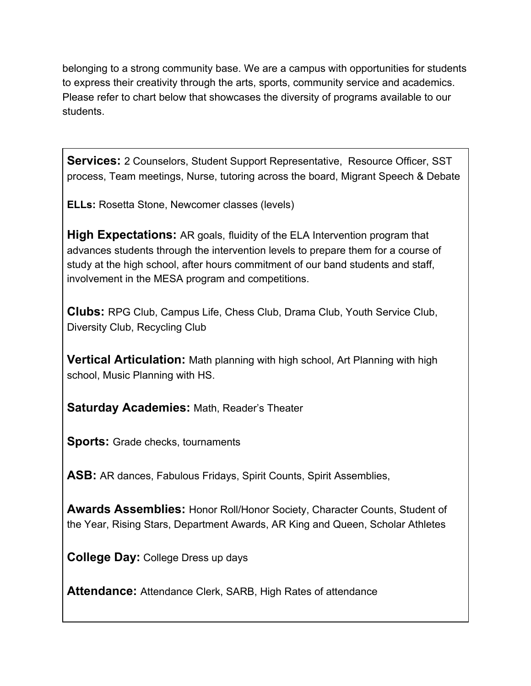belonging to a strong community base. We are a campus with opportunities for students to express their creativity through the arts, sports, community service and academics. Please refer to chart below that showcases the diversity of programs available to our students.

**Services:** 2 Counselors, Student Support Representative, Resource Officer, SST process, Team meetings, Nurse, tutoring across the board, Migrant Speech & Debate

**ELLs:** Rosetta Stone, Newcomer classes (levels)

**High Expectations:** AR goals, fluidity of the ELA Intervention program that advances students through the intervention levels to prepare them for a course of study at the high school, after hours commitment of our band students and staff, involvement in the MESA program and competitions.

**Clubs:** RPG Club, Campus Life, Chess Club, Drama Club, Youth Service Club, Diversity Club, Recycling Club

**Vertical Articulation:** Math planning with high school, Art Planning with high school, Music Planning with HS.

**Saturday Academies:** Math, Reader's Theater

**Sports:** Grade checks, tournaments

**ASB:** AR dances, Fabulous Fridays, Spirit Counts, Spirit Assemblies,

**Awards Assemblies:** Honor Roll/Honor Society, Character Counts, Student of the Year, Rising Stars, Department Awards, AR King and Queen, Scholar Athletes

**College Day:** College Dress up days

**Attendance:** Attendance Clerk, SARB, High Rates of attendance